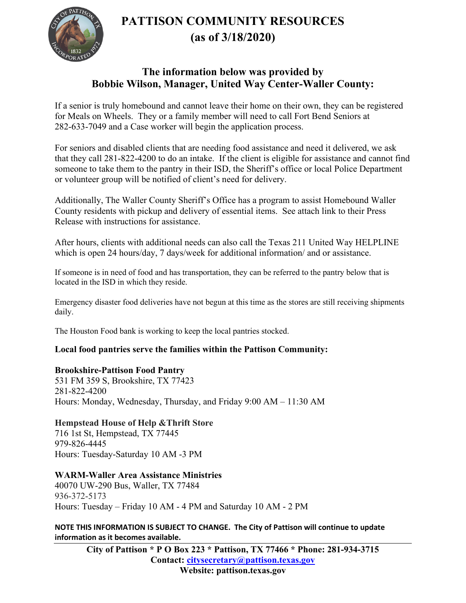**PATTISON COMMUNITY RESOURCES (as of 3/18/2020)** 



### **The information below was provided by Bobbie Wilson, Manager, United Way Center-Waller County:**

If a senior is truly homebound and cannot leave their home on their own, they can be registered for Meals on Wheels. They or a family member will need to call Fort Bend Seniors at 282-633-7049 and a Case worker will begin the application process.

For seniors and disabled clients that are needing food assistance and need it delivered, we ask that they call 281-822-4200 to do an intake. If the client is eligible for assistance and cannot find someone to take them to the pantry in their ISD, the Sheriff's office or local Police Department or volunteer group will be notified of client's need for delivery.

Additionally, The Waller County Sheriff's Office has a program to assist Homebound Waller County residents with pickup and delivery of essential items. See attach link to their Press Release with instructions for assistance.

After hours, clients with additional needs can also call the Texas 211 United Way HELPLINE which is open 24 hours/day, 7 days/week for additional information/ and or assistance.

If someone is in need of food and has transportation, they can be referred to the pantry below that is located in the ISD in which they reside.

Emergency disaster food deliveries have not begun at this time as the stores are still receiving shipments daily.

The Houston Food bank is working to keep the local pantries stocked.

#### **Local food pantries serve the families within the Pattison Community:**

#### **Brookshire-Pattison Food Pantry**

531 FM 359 S, Brookshire, TX 77423 281-822-4200 Hours: Monday, Wednesday, Thursday, and Friday 9:00 AM – 11:30 AM

#### **Hempstead House of Help &Thrift Store**

716 1st St, Hempstead, TX 77445 979-826-4445 Hours: Tuesday-Saturday 10 AM -3 PM

#### **WARM-Waller Area Assistance Ministries**

40070 UW-290 Bus, Waller, TX 77484 936-372-5173 Hours: Tuesday – Friday 10 AM - 4 PM and Saturday 10 AM - 2 PM

**NOTE THIS INFORMATION IS SUBJECT TO CHANGE. The City of Pattison will continue to update information as it becomes available.**

**City of Pattison \* P O Box 223 \* Pattison, TX 77466 \* Phone: 281-934-3715 Contact: [citysecretary@pattison.texas.gov](mailto:citysecretary@pattison.texas.gov) Website: pattison.texas.gov**